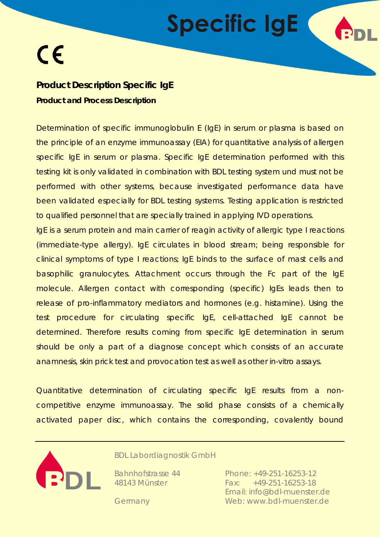

### **Product Description Specific IgE Product and Process Description**

Determination of specific immunoglobulin E (IgE) in serum or plasma is based on the principle of an enzyme immunoassay (EIA) for quantitative analysis of allergen specific IgE in serum or plasma. Specific IgE determination performed with this testing kit is only validated in combination with BDL testing system und must not be performed with other systems, because investigated performance data have been validated especially for BDL testing systems. Testing application is restricted to qualified personnel that are specially trained in applying IVD operations.

IgE is a serum protein and main carrier of reagin activity of allergic type I reactions (immediate-type allergy). IgE circulates in blood stream; being responsible for clinical symptoms of type I reactions; IgE binds to the surface of mast cells and basophilic granulocytes. Attachment occurs through the Fc part of the IgE molecule. Allergen contact with corresponding (specific) IgEs leads then to release of pro-inflammatory mediators and hormones (e.g. histamine). Using the test procedure for circulating specific IgE, cell-attached IgE cannot be determined. Therefore results coming from specific IgE determination in serum should be only a part of a diagnose concept which consists of an accurate anamnesis, skin prick test and provocation test as well as other *in-vitro* assays.

Quantitative determination of circulating specific IgE results from a noncompetitive enzyme immunoassay. The solid phase consists of a chemically activated paper disc, which contains the corresponding, covalently bound



BDL Labordiagnostik GmbH

Bahnhofstrasse 44 48143 Münster

Phone: +49-251-16253-12 Fax: +49-251-16253-18 Email: info@bdl-muenster.de Web: www.bdl-muenster.de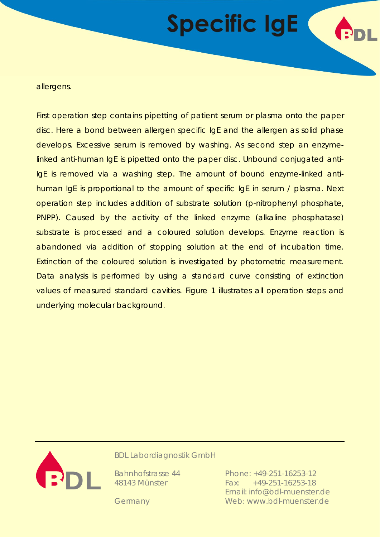allergens.

First operation step contains pipetting of patient serum or plasma onto the paper disc. Here a bond between allergen specific IgE and the allergen as solid phase develops. Excessive serum is removed by washing. As second step an enzymelinked anti-human IgE is pipetted onto the paper disc. Unbound conjugated anti-IgE is removed via a washing step. The amount of bound enzyme-linked antihuman IgE is proportional to the amount of specific IgE in serum / plasma. Next operation step includes addition of substrate solution (p-nitrophenyl phosphate, PNPP). Caused by the activity of the linked enzyme (alkaline phosphatase) substrate is processed and a coloured solution develops. Enzyme reaction is abandoned via addition of stopping solution at the end of incubation time. Extinction of the coloured solution is investigated by photometric measurement. Data analysis is performed by using a standard curve consisting of extinction values of measured standard cavities. Figure 1 illustrates all operation steps and underlying molecular background.



BDL Labordiagnostik GmbH

Bahnhofstrasse 44 48143 Münster

Phone: +49-251-16253-12 Fax: +49-251-16253-18 Email: info@bdl-muenster.de Web: www.bdl-muenster.de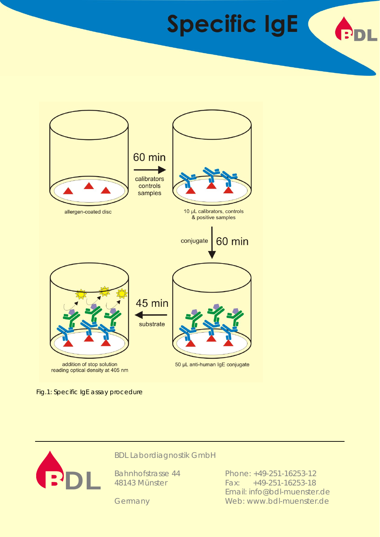

Fig.1: Specific IgE assay procedure



BDL Labordiagnostik GmbH

Bahnhofstrasse 44 48143 Münster

Phone: +49-251-16253-12 Fax: +49-251-16253-18 Email: info@bdl-muenster.de Web: www.bdl-muenster.de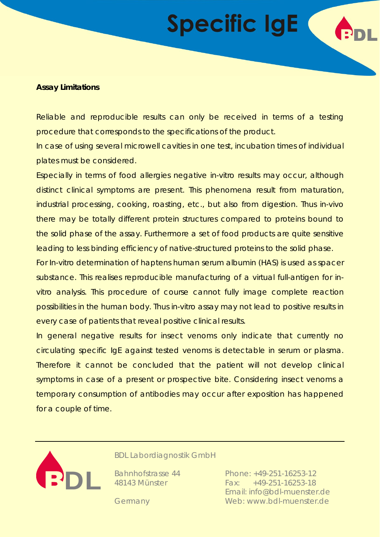

Reliable and reproducible results can only be received in terms of a testing procedure that corresponds to the specifications of the product.

In case of using several microwell cavities in one test, incubation times of individual plates must be considered.

Especially in terms of food allergies negative *in-vitro* results may occur, although distinct clinical symptoms are present. This phenomena result from maturation, industrial processing, cooking, roasting, etc., but also from digestion. Thus *in-vivo* there may be totally different protein structures compared to proteins bound to the solid phase of the assay. Furthermore a set of food products are quite sensitive leading to less binding efficiency of native-structured proteins to the solid phase.

For *In-vitro* determination of haptens human serum albumin (HAS) is used as spacer substance. This realises reproducible manufacturing of a virtual full-antigen for *invitro* analysis. This procedure of course cannot fully image complete reaction possibilities in the human body. Thus *in-vitro* assay may not lead to positive results in every case of patients that reveal positive clinical results.

In general negative results for insect venoms only indicate that currently no circulating specific IgE against tested venoms is detectable in serum or plasma. Therefore it cannot be concluded that the patient will not develop clinical symptoms in case of a present or prospective bite. Considering insect venoms a temporary consumption of antibodies may occur after exposition has happened for a couple of time.



BDL Labordiagnostik GmbH

Bahnhofstrasse 44 48143 Münster

Phone: +49-251-16253-12 Fax: +49-251-16253-18 Email: info@bdl-muenster.de Web: www.bdl-muenster.de